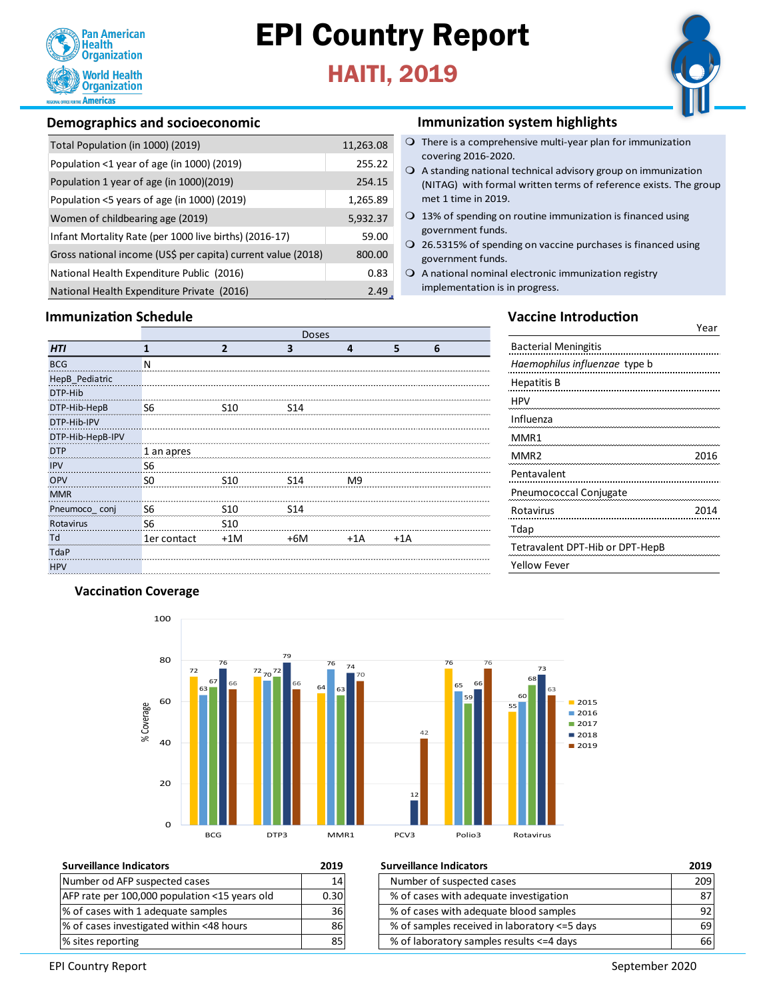

# EPI Country Report

## HAITI, 2019



### **Demographics and socioeconomic**

| Total Population (in 1000) (2019)                            | 11,263.08 |
|--------------------------------------------------------------|-----------|
| Population <1 year of age (in 1000) (2019)                   | 255.22    |
| Population 1 year of age (in 1000)(2019)                     | 254.15    |
| Population <5 years of age (in 1000) (2019)                  | 1,265.89  |
| Women of childbearing age (2019)                             | 5,932.37  |
| Infant Mortality Rate (per 1000 live births) (2016-17)       | 59.00     |
| Gross national income (US\$ per capita) current value (2018) | 800.00    |
| National Health Expenditure Public (2016)                    | 0.83      |
| National Health Expenditure Private (2016)                   | 2.49      |

## **Immunization Schedule**

## **Immunization system highlights**

- $\bigcirc$  There is a comprehensive multi-year plan for immunization covering 2016-2020.
- $\bigcirc$  A standing national technical advisory group on immunization (NITAG) with formal written terms of reference exists. The group met 1 time in 2019.
- $\bigcirc$  13% of spending on routine immunization is financed using government funds.
- $\overline{O}$  26.5315% of spending on vaccine purchases is financed using government funds.
- $\Omega$  A national nominal electronic immunization registry implementation is in progress.

|                  | <b>Doses</b>   |                 |                 |       |       |   |
|------------------|----------------|-----------------|-----------------|-------|-------|---|
| HTI              | 1              | $\overline{2}$  | 3               | 4     | 5     | 6 |
| <b>BCG</b>       | N              |                 |                 |       |       |   |
| HepB_Pediatric   |                |                 |                 |       |       |   |
| DTP-Hib          |                |                 |                 |       |       |   |
| DTP-Hib-HepB     | S <sub>6</sub> | S <sub>10</sub> | S14             |       |       |   |
| DTP-Hib-IPV      |                |                 |                 |       |       |   |
| DTP-Hib-HepB-IPV |                |                 |                 |       |       |   |
| <b>DTP</b>       | 1 an apres     |                 |                 |       |       |   |
| <b>IPV</b>       | <b>S6</b>      |                 |                 |       |       |   |
| OPV              | S <sub>0</sub> | S10             | S14             | M9    |       |   |
| <b>MMR</b>       |                |                 |                 |       |       |   |
| Pneumoco_conj    | <b>S6</b>      | S <sub>10</sub> | S <sub>14</sub> |       |       |   |
| Rotavirus        | <b>S6</b>      | S <sub>10</sub> |                 |       |       |   |
| Td               | 1er contact    | $+1M$           | $+6M$           | $+1A$ | $+1A$ |   |
| TdaP             |                |                 |                 |       |       |   |
| <b>HPV</b>       |                |                 |                 |       |       |   |
|                  |                |                 |                 |       |       |   |

### **Vaccine Introduction**

Year

| <b>Bacterial Meningitis</b>     |      |
|---------------------------------|------|
| Haemophilus influenzae type b   |      |
| Hepatitis B                     |      |
| HPV                             |      |
| Influenza                       |      |
| MMR1                            |      |
| MMR <sub>2</sub>                | 2016 |
| Pentavalent                     |      |
| Pneumococcal Conjugate          |      |
| Rotavirus                       | 2014 |
| Tdap                            |      |
| Tetravalent DPT-Hib or DPT-HepB |      |
| Yellow Fever                    |      |
|                                 |      |

### **Vaccination Coverage**

MMRTTTTP



| <b>Surveillance Indicators</b>                | 2019 |
|-----------------------------------------------|------|
| Number od AFP suspected cases                 | 1    |
| AFP rate per 100,000 population <15 years old | 0.3( |
| % of cases with 1 adequate samples            | 30   |
| % of cases investigated within <48 hours      | 8    |
| % sites reporting                             | יא   |

| <b>Surveillance Indicators</b>                | 2019 | <b>Surveillance Indicators</b>               | 2019            |
|-----------------------------------------------|------|----------------------------------------------|-----------------|
| Number od AFP suspected cases                 | 14   | Number of suspected cases                    | 209             |
| AFP rate per 100,000 population <15 years old | 0.30 | % of cases with adequate investigation       | 871             |
| % of cases with 1 adequate samples            | 36 I | % of cases with adequate blood samples       | 92 <sub>1</sub> |
| % of cases investigated within <48 hours      | 86   | % of samples received in laboratory <=5 days | 691             |
| % sites reporting                             | 85   | % of laboratory samples results <= 4 days    | 66 I            |